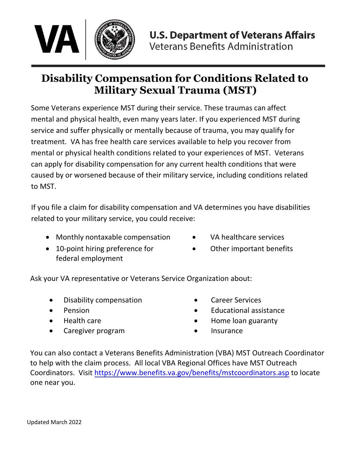

# **Disability Compensation for Conditions Related to Military Sexual Trauma (MST)**

Some Veterans experience MST during their service. These traumas can affect mental and physical health, even many years later. If you experienced MST during service and suffer physically or mentally because of trauma, you may qualify for treatment. VA has free health care services available to help you recover from mental or physical health conditions related to your experiences of MST. Veterans can apply for disability compensation for any current health conditions that were caused by or worsened because of their military service, including conditions related to MST.

If you file a claim for disability compensation and VA determines you have disabilities related to your military service, you could receive:

- Monthly nontaxable compensation
- 10-point hiring preference for federal employment
- VA healthcare services
- Other important benefits

Ask your VA representative or Veterans Service Organization about:

- Disability compensation
- Pension
- Health care
- Caregiver program
- Career Services
- Educational assistance
- Home loan guaranty
- **Insurance**

You can also contact a Veterans Benefits Administration (VBA) MST Outreach Coordinator to help with the claim process. All local VBA Regional Offices have MST Outreach Coordinators. Visit [https://www.benefits.va.gov/benefits/mstcoordinators](https://www.benefits.va.gov/benefits/mstcoordinators.asp).asp to locate one near you.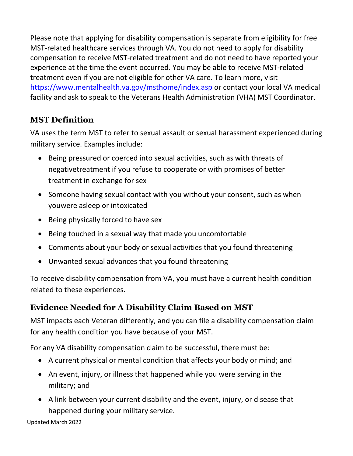Please note that applying for disability compensation is separate from eligibility for free MST-related healthcare services through VA. You do not need to apply for disability compensation to receive MST-related treatment and do not need to have reported your experience at the time the event occurred. You may be able to receive MST-related treatment even if you are not eligible for other VA care. To learn more, visit <https://www.mentalhealth.va.gov/msthome/index.asp> or contact your local VA medical facility and ask to speak to the Veterans Health Administration (VHA) MST Coordinator.

### **MST Definition**

VA uses the term MST to refer to sexual assault or sexual harassment experienced during military service. Examples include:

- Being pressured or coerced into sexual activities, such as with threats of negative treatment if you refuse to cooperate or with promises of better treatment in exchange for sex
- Someone having sexual contact with you without your consent, such as when youwere asleep or intoxicated
- Being physically forced to have sex
- Being touched in a sexual way that made you uncomfortable
- Comments about your body or sexual activities that you found threatening
- Unwanted sexual advances that you found threatening

To receive disability compensation from VA, you must have a current health condition related to these experiences.

## **Evidence Needed for A Disability Claim Based on MST**

MST impacts each Veteran differently, and you can file a disability compensation claim for any health condition you have because of your MST.

For any VA disability compensation claim to be successful, there must be:

- A current physical or mental condition that affects your body or mind; and
- An event, injury, or illness that happened while you were serving in the military; and
- A link between your current disability and the event, injury, or disease that happened during your military service.

Updated March 2022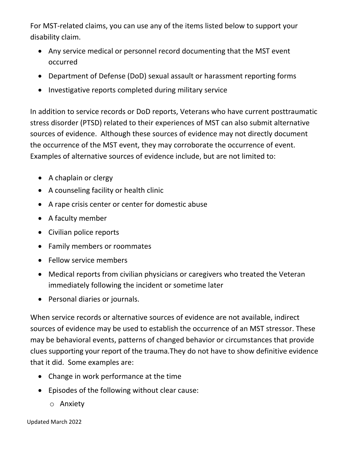For MST-related claims, you can use any of the items listed below to support your disability claim.

- Any service medical or personnel record documenting that the MST event occurred
- Department of Defense (DoD) sexual assault or harassment reporting forms
- Investigative reports completed during military service

In addition to service records or DoD reports, Veterans who have current posttraumatic stress disorder (PTSD) related to their experiences of MST can also submit alternative sources of evidence. Although these sources of evidence may not directly document the occurrence of the MST event, they may corroborate the occurrence of event. Examples of alternative sources of evidence include, but are not limited to:

- A chaplain or clergy
- A counseling facility or health clinic
- A rape crisis center or center for domestic abuse
- A faculty member
- Civilian police reports
- Family members or roommates
- Fellow service members
- Medical reports from civilian physicians or caregivers who treated the Veteran immediately following the incident or sometime later
- Personal diaries or journals.

When service records or alternative sources of evidence are not available, indirect sources of evidence may be used to establish the occurrence of an MST stressor. These may be behavioral events, patterns of changed behavior or circumstances that provide clues supporting your report of the trauma. They do not have to show definitive evidence that it did. Some examples are:

- Change in work performance at the time
- Episodes of the following without clear cause:
	- o Anxiety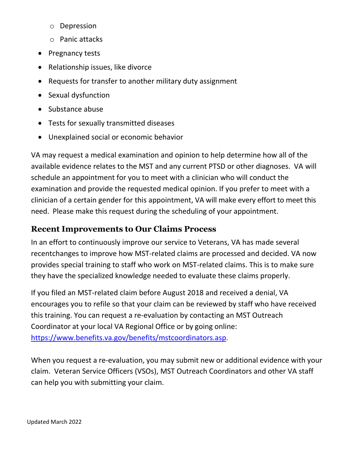- o Depression
- o Panic attacks
- Pregnancy tests
- Relationship issues, like divorce
- Requests for transfer to another military duty assignment
- Sexual dysfunction
- Substance abuse
- Tests for sexually transmitted diseases
- Unexplained social or economic behavior

VA may request a medical examination and opinion to help determine how all of the available evidence relates to the MST and any current PTSD or other diagnoses. VA will schedule an appointment for you to meet with a clinician who will conduct the examination and provide the requested medical opinion. If you prefer to meet with a clinician of a certain gender for this appointment, VA will make every effort to meet this need. Please make this request during the scheduling of your appointment.

#### **Recent Improvements to Our Claims Process**

In an effort to continuously improve our service to Veterans, VA has made several recent changes to improve how MST-related claims are processed and decided. VA now provides special training to staff who work on MST-related claims. This is to make sure they have the specialized knowledge needed to evaluate these claims properly.

If you filed an MST-related claim before August 2018 and received a denial, VA encourages you to refile so that your claim can be reviewed by staff who have received this training. You can request a re-evaluation by contacting an MST Outreach Coordinator at your local VA Regional Office or by going online: [https://www.benefits.va.gov/benefits/mstcoordinators.asp.](https://www.benefits.va.gov/benefits/mstcoordinators.asp) 

When you request a re-evaluation, you may submit new or additional evidence with your claim. Veteran Service Officers (VSOs), MST Outreach Coordinators and other VA staff can help you with submitting your claim.